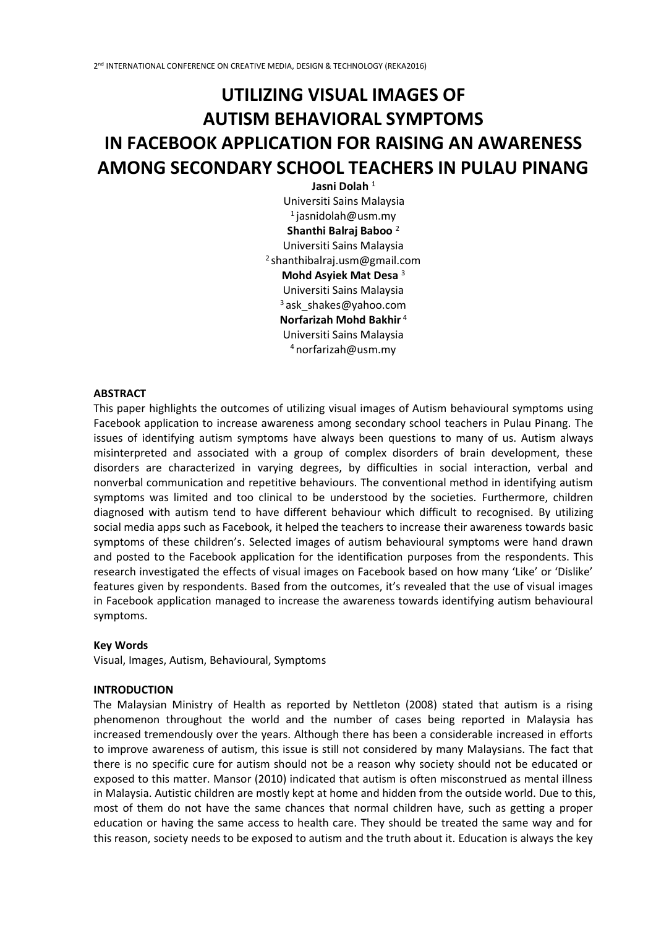# **UTILIZING VISUAL IMAGES OF AUTISM BEHAVIORAL SYMPTOMS IN FACEBOOK APPLICATION FOR RAISING AN AWARENESS AMONG SECONDARY SCHOOL TEACHERS IN PULAU PINANG**

**Jasni Dolah** <sup>1</sup> Universiti Sains Malaysia  $1$ jasnidolah@usm.my **Shanthi Balraj Baboo** <sup>2</sup> Universiti Sains Malaysia <sup>2</sup>shanthibalraj.usm@gmail.com **Mohd Asyiek Mat Desa** <sup>3</sup> Universiti Sains Malaysia  $3$ ask shakes@yahoo.com **Norfarizah Mohd Bakhir** <sup>4</sup> Universiti Sains Malaysia <sup>4</sup>norfarizah@usm.my

### **ABSTRACT**

This paper highlights the outcomes of utilizing visual images of Autism behavioural symptoms using Facebook application to increase awareness among secondary school teachers in Pulau Pinang. The issues of identifying autism symptoms have always been questions to many of us. Autism always misinterpreted and associated with a group of complex disorders of brain development, these disorders are characterized in varying degrees, by difficulties in social interaction, verbal and nonverbal communication and repetitive behaviours. The conventional method in identifying autism symptoms was limited and too clinical to be understood by the societies. Furthermore, children diagnosed with autism tend to have different behaviour which difficult to recognised. By utilizing social media apps such as Facebook, it helped the teachers to increase their awareness towards basic symptoms of these children's. Selected images of autism behavioural symptoms were hand drawn and posted to the Facebook application for the identification purposes from the respondents. This research investigated the effects of visual images on Facebook based on how many 'Like' or 'Dislike' features given by respondents. Based from the outcomes, it's revealed that the use of visual images in Facebook application managed to increase the awareness towards identifying autism behavioural symptoms.

#### **Key Words**

Visual, Images, Autism, Behavioural, Symptoms

#### **INTRODUCTION**

The Malaysian Ministry of Health as reported by Nettleton (2008) stated that autism is a rising phenomenon throughout the world and the number of cases being reported in Malaysia has increased tremendously over the years. Although there has been a considerable increased in efforts to improve awareness of autism, this issue is still not considered by many Malaysians. The fact that there is no specific cure for autism should not be a reason why society should not be educated or exposed to this matter. Mansor (2010) indicated that autism is often misconstrued as mental illness in Malaysia. Autistic children are mostly kept at home and hidden from the outside world. Due to this, most of them do not have the same chances that normal children have, such as getting a proper education or having the same access to health care. They should be treated the same way and for this reason, society needs to be exposed to autism and the truth about it. Education is always the key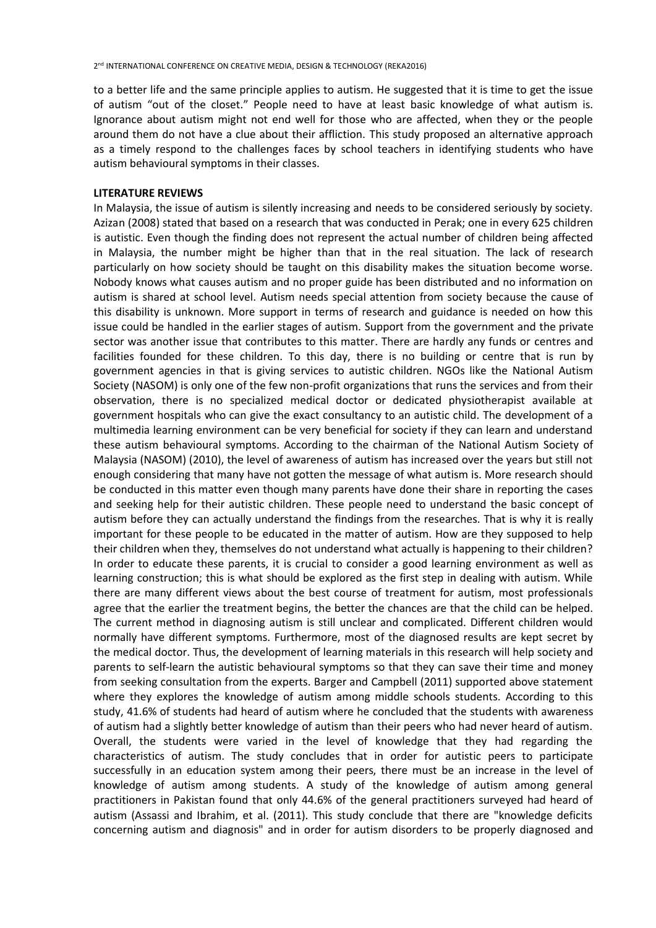to a better life and the same principle applies to autism. He suggested that it is time to get the issue of autism "out of the closet." People need to have at least basic knowledge of what autism is. Ignorance about autism might not end well for those who are affected, when they or the people around them do not have a clue about their affliction. This study proposed an alternative approach as a timely respond to the challenges faces by school teachers in identifying students who have autism behavioural symptoms in their classes.

#### **LITERATURE REVIEWS**

In Malaysia, the issue of autism is silently increasing and needs to be considered seriously by society. Azizan (2008) stated that based on a research that was conducted in Perak; one in every 625 children is autistic. Even though the finding does not represent the actual number of children being affected in Malaysia, the number might be higher than that in the real situation. The lack of research particularly on how society should be taught on this disability makes the situation become worse. Nobody knows what causes autism and no proper guide has been distributed and no information on autism is shared at school level. Autism needs special attention from society because the cause of this disability is unknown. More support in terms of research and guidance is needed on how this issue could be handled in the earlier stages of autism. Support from the government and the private sector was another issue that contributes to this matter. There are hardly any funds or centres and facilities founded for these children. To this day, there is no building or centre that is run by government agencies in that is giving services to autistic children. NGOs like the National Autism Society (NASOM) is only one of the few non-profit organizations that runs the services and from their observation, there is no specialized medical doctor or dedicated physiotherapist available at government hospitals who can give the exact consultancy to an autistic child. The development of a multimedia learning environment can be very beneficial for society if they can learn and understand these autism behavioural symptoms. According to the chairman of the National Autism Society of Malaysia (NASOM) (2010), the level of awareness of autism has increased over the years but still not enough considering that many have not gotten the message of what autism is. More research should be conducted in this matter even though many parents have done their share in reporting the cases and seeking help for their autistic children. These people need to understand the basic concept of autism before they can actually understand the findings from the researches. That is why it is really important for these people to be educated in the matter of autism. How are they supposed to help their children when they, themselves do not understand what actually is happening to their children? In order to educate these parents, it is crucial to consider a good learning environment as well as learning construction; this is what should be explored as the first step in dealing with autism. While there are many different views about the best course of treatment for autism, most professionals agree that the earlier the treatment begins, the better the chances are that the child can be helped. The current method in diagnosing autism is still unclear and complicated. Different children would normally have different symptoms. Furthermore, most of the diagnosed results are kept secret by the medical doctor. Thus, the development of learning materials in this research will help society and parents to self-learn the autistic behavioural symptoms so that they can save their time and money from seeking consultation from the experts. Barger and Campbell (2011) supported above statement where they explores the knowledge of autism among middle schools students. According to this study, 41.6% of students had heard of autism where he concluded that the students with awareness of autism had a slightly better knowledge of autism than their peers who had never heard of autism. Overall, the students were varied in the level of knowledge that they had regarding the characteristics of autism. The study concludes that in order for autistic peers to participate successfully in an education system among their peers, there must be an increase in the level of knowledge of autism among students. A study of the knowledge of autism among general practitioners in Pakistan found that only 44.6% of the general practitioners surveyed had heard of autism (Assassi and Ibrahim, et al. (2011). This study conclude that there are "knowledge deficits concerning autism and diagnosis" and in order for autism disorders to be properly diagnosed and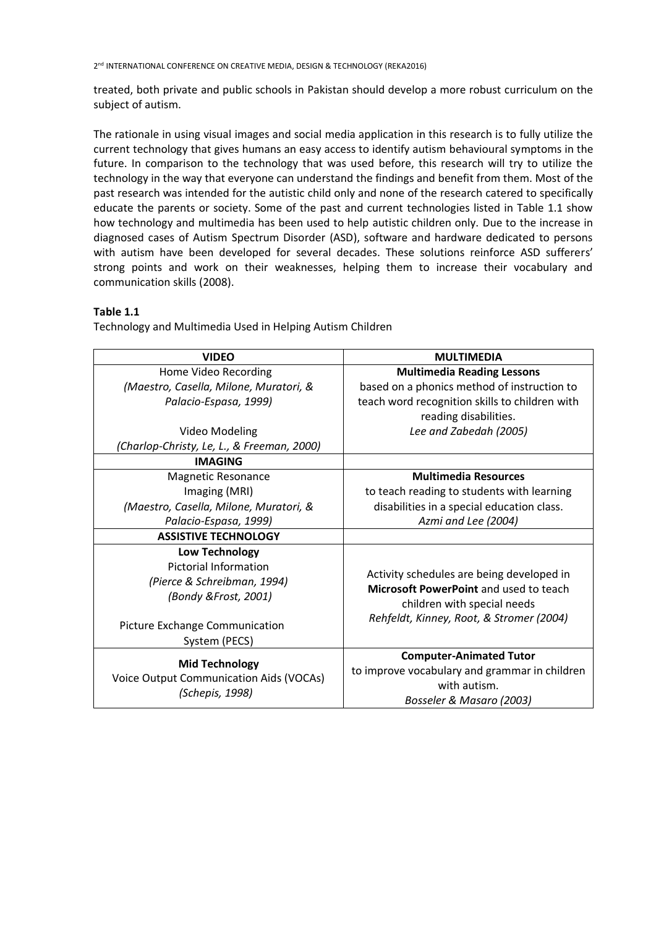treated, both private and public schools in Pakistan should develop a more robust curriculum on the subject of autism.

The rationale in using visual images and social media application in this research is to fully utilize the current technology that gives humans an easy access to identify autism behavioural symptoms in the future. In comparison to the technology that was used before, this research will try to utilize the technology in the way that everyone can understand the findings and benefit from them. Most of the past research was intended for the autistic child only and none of the research catered to specifically educate the parents or society. Some of the past and current technologies listed in Table 1.1 show how technology and multimedia has been used to help autistic children only. Due to the increase in diagnosed cases of Autism Spectrum Disorder (ASD), software and hardware dedicated to persons with autism have been developed for several decades. These solutions reinforce ASD sufferers' strong points and work on their weaknesses, helping them to increase their vocabulary and communication skills (2008).

# **Table 1.1**

Technology and Multimedia Used in Helping Autism Children

| <b>VIDEO</b>                                               | <b>MULTIMEDIA</b>                                                                   |  |  |  |
|------------------------------------------------------------|-------------------------------------------------------------------------------------|--|--|--|
| Home Video Recording                                       | <b>Multimedia Reading Lessons</b>                                                   |  |  |  |
| (Maestro, Casella, Milone, Muratori, &                     | based on a phonics method of instruction to                                         |  |  |  |
| Palacio-Espasa, 1999)                                      | teach word recognition skills to children with                                      |  |  |  |
|                                                            | reading disabilities.                                                               |  |  |  |
| Video Modeling                                             | Lee and Zabedah (2005)                                                              |  |  |  |
| (Charlop-Christy, Le, L., & Freeman, 2000)                 |                                                                                     |  |  |  |
| <b>IMAGING</b>                                             |                                                                                     |  |  |  |
| <b>Magnetic Resonance</b>                                  | <b>Multimedia Resources</b>                                                         |  |  |  |
| Imaging (MRI)                                              | to teach reading to students with learning                                          |  |  |  |
| (Maestro, Casella, Milone, Muratori, &                     | disabilities in a special education class.                                          |  |  |  |
| Palacio-Espasa, 1999)                                      | Azmi and Lee (2004)                                                                 |  |  |  |
| <b>ASSISTIVE TECHNOLOGY</b>                                |                                                                                     |  |  |  |
| <b>Low Technology</b>                                      |                                                                                     |  |  |  |
| <b>Pictorial Information</b>                               |                                                                                     |  |  |  |
| (Pierce & Schreibman, 1994)                                | Activity schedules are being developed in<br>Microsoft PowerPoint and used to teach |  |  |  |
| (Bondy & Frost, 2001)                                      |                                                                                     |  |  |  |
|                                                            | children with special needs                                                         |  |  |  |
| Picture Exchange Communication                             | Rehfeldt, Kinney, Root, & Stromer (2004)                                            |  |  |  |
| System (PECS)                                              |                                                                                     |  |  |  |
|                                                            | <b>Computer-Animated Tutor</b>                                                      |  |  |  |
| <b>Mid Technology</b>                                      | to improve vocabulary and grammar in children                                       |  |  |  |
| Voice Output Communication Aids (VOCAs)<br>(Schepis, 1998) | with autism.                                                                        |  |  |  |
|                                                            | Bosseler & Masaro (2003)                                                            |  |  |  |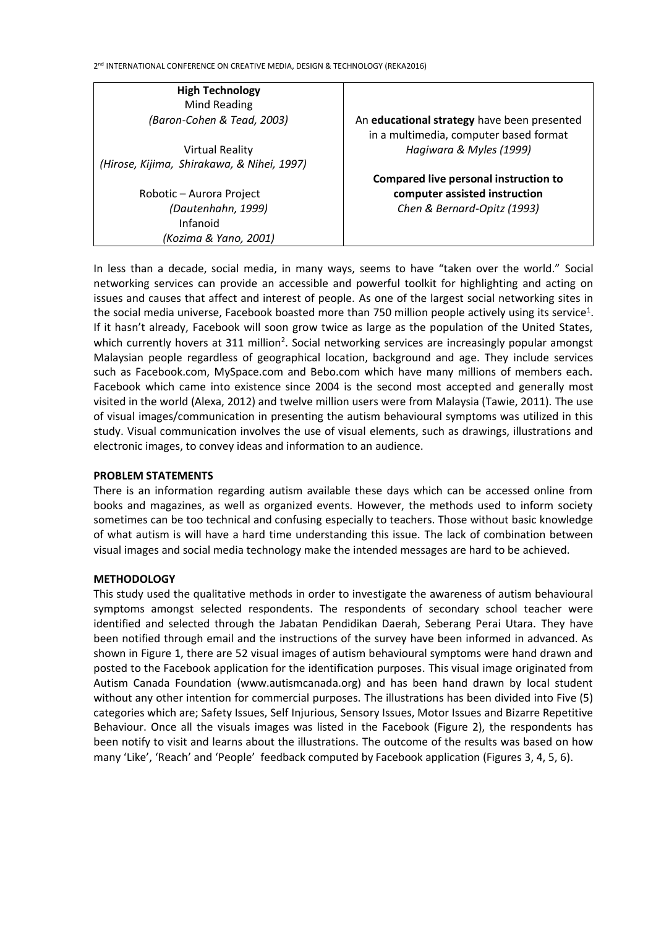*(Kozima & Yano, 2001)*

**High Technology** Mind Reading *(Baron-Cohen & Tead, 2003)* Virtual Reality *(Hirose, Kijima, Shirakawa, & Nihei, 1997)* Robotic – Aurora Project *(Dautenhahn, 1999)* Infanoid An **educational strategy** have been presented in a multimedia, computer based format *Hagiwara & Myles (1999)* **Compared live personal instruction to computer assisted instruction**  *Chen & Bernard-Opitz (1993)*

In less than a decade, social media, in many ways, seems to have "taken over the world." Social networking services can provide an accessible and powerful toolkit for highlighting and acting on issues and causes that affect and interest of people. As one of the largest social networking sites in the social media universe, Facebook boasted more than 750 million people actively using its service<sup>1</sup>. If it hasn't already, Facebook will soon grow twice as large as the population of the United States, which currently hovers at 311 million<sup>2</sup>. Social networking services are increasingly popular amongst Malaysian people regardless of geographical location, background and age. They include services such as Facebook.com, MySpace.com and Bebo.com which have many millions of members each. Facebook which came into existence since 2004 is the second most accepted and generally most visited in the world (Alexa, 2012) and twelve million users were from Malaysia (Tawie, 2011). The use of visual images/communication in presenting the autism behavioural symptoms was utilized in this study. Visual communication involves the use of visual elements, such as drawings, illustrations and electronic images, to convey ideas and information to an audience.

# **PROBLEM STATEMENTS**

There is an information regarding autism available these days which can be accessed online from books and magazines, as well as organized events. However, the methods used to inform society sometimes can be too technical and confusing especially to teachers. Those without basic knowledge of what autism is will have a hard time understanding this issue. The lack of combination between visual images and social media technology make the intended messages are hard to be achieved.

# **METHODOLOGY**

This study used the qualitative methods in order to investigate the awareness of autism behavioural symptoms amongst selected respondents. The respondents of secondary school teacher were identified and selected through the Jabatan Pendidikan Daerah, Seberang Perai Utara. They have been notified through email and the instructions of the survey have been informed in advanced. As shown in Figure 1, there are 52 visual images of autism behavioural symptoms were hand drawn and posted to the Facebook application for the identification purposes. This visual image originated from Autism Canada Foundation (www.autismcanada.org) and has been hand drawn by local student without any other intention for commercial purposes. The illustrations has been divided into Five (5) categories which are; Safety Issues, Self Injurious, Sensory Issues, Motor Issues and Bizarre Repetitive Behaviour. Once all the visuals images was listed in the Facebook (Figure 2), the respondents has been notify to visit and learns about the illustrations. The outcome of the results was based on how many 'Like', 'Reach' and 'People' feedback computed by Facebook application (Figures 3, 4, 5, 6).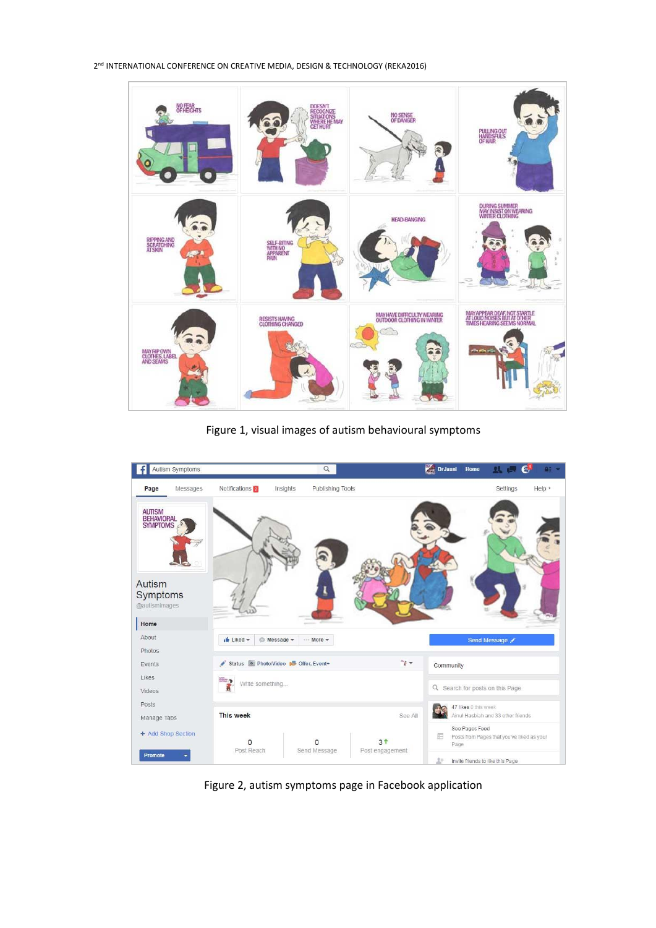

Figure 1, visual images of autism behavioural symptoms



Figure 2, autism symptoms page in Facebook application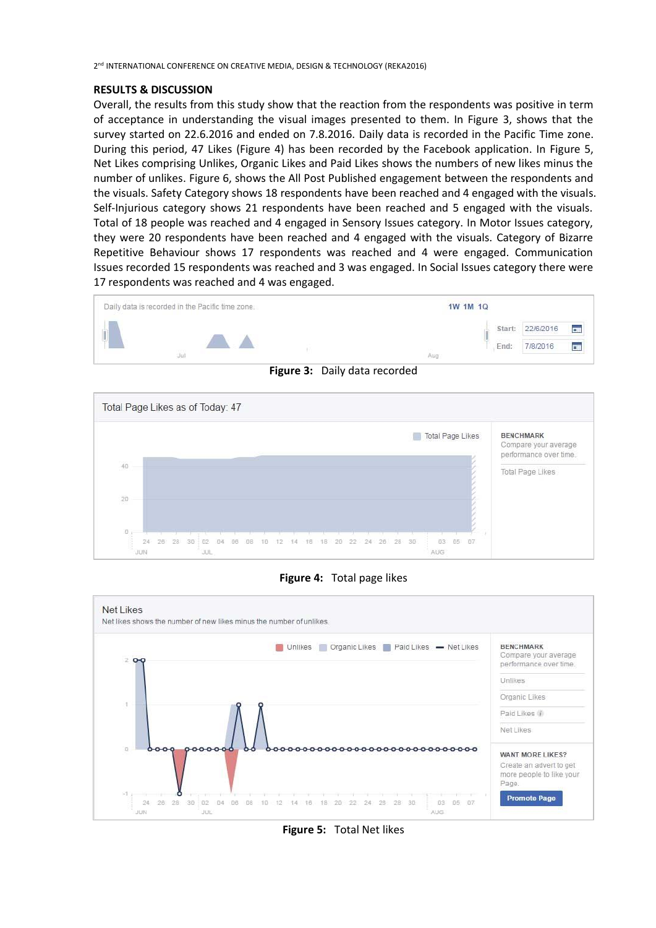### **RESULTS & DISCUSSION**

Overall, the results from this study show that the reaction from the respondents was positive in term of acceptance in understanding the visual images presented to them. In Figure 3, shows that the survey started on 22.6.2016 and ended on 7.8.2016. Daily data is recorded in the Pacific Time zone. During this period, 47 Likes (Figure 4) has been recorded by the Facebook application. In Figure 5, Net Likes comprising Unlikes, Organic Likes and Paid Likes shows the numbers of new likes minus the number of unlikes. Figure 6, shows the All Post Published engagement between the respondents and the visuals. Safety Category shows 18 respondents have been reached and 4 engaged with the visuals. Self-Injurious category shows 21 respondents have been reached and 5 engaged with the visuals. Total of 18 people was reached and 4 engaged in Sensory Issues category. In Motor Issues category, they were 20 respondents have been reached and 4 engaged with the visuals. Category of Bizarre Repetitive Behaviour shows 17 respondents was reached and 4 were engaged. Communication Issues recorded 15 respondents was reached and 3 was engaged. In Social Issues category there were 17 respondents was reached and 4 was engaged.



**Figure 3:** Daily data recorded







**Figure 5:** Total Net likes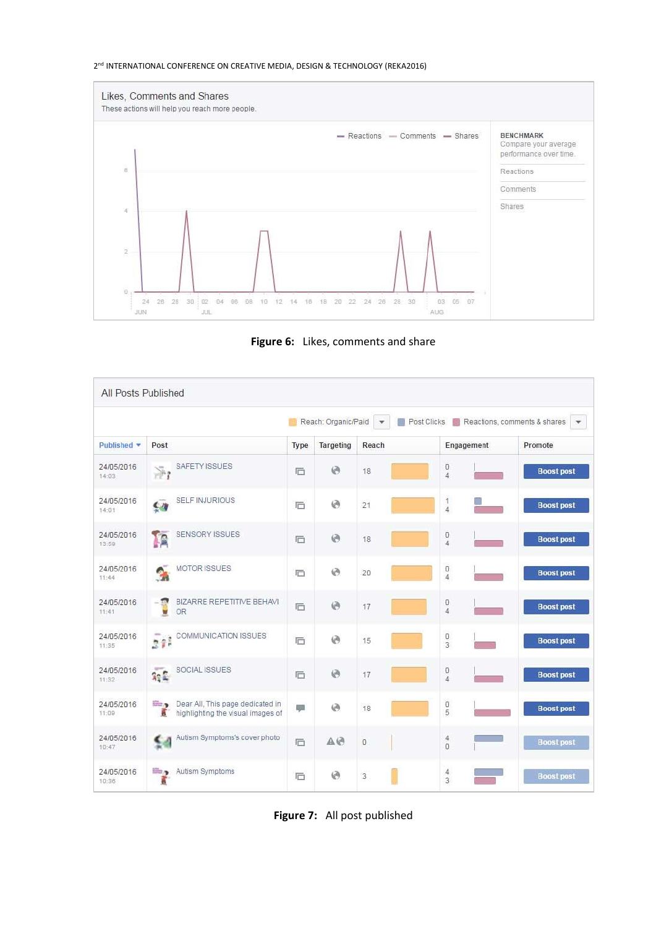

**Figure 6:** Likes, comments and share

| All Posts Published                                                                                                      |                                                                                            |        |            |       |                                       |                   |  |
|--------------------------------------------------------------------------------------------------------------------------|--------------------------------------------------------------------------------------------|--------|------------|-------|---------------------------------------|-------------------|--|
| Reach: Organic/Paid<br>Post Clicks Reactions, comments & shares<br>$\boldsymbol{\mathrm{v}}$<br>$\overline{\phantom{a}}$ |                                                                                            |        |            |       |                                       |                   |  |
| Published <b>v</b>                                                                                                       | Post                                                                                       | Type   | Targeting  | Reach | Engagement                            | Promote           |  |
| 24/05/2016<br>14:03                                                                                                      | SAFETY ISSUES<br>净                                                                         | 后      | $\Theta$   | 18    | O<br>$\overline{4}$                   | <b>Boost post</b> |  |
| 24/05/2016<br>14:01                                                                                                      | <b>SELF INJURIOUS</b><br>ÇW                                                                | 后      | 0          | 21    | 1<br>$\overline{4}$                   | <b>Boost post</b> |  |
| 24/05/2016<br>13:59                                                                                                      | SENSORY ISSUES<br><b>IC</b>                                                                | 后      | $\Theta$   | 18    | O<br>$\overline{4}$                   | <b>Boost post</b> |  |
| 24/05/2016<br>11:44                                                                                                      | <b>MOTOR ISSUES</b><br>٩                                                                   | 后      | 0          | 20    | O<br>$\overline{4}$                   | <b>Boost post</b> |  |
| 24/05/2016<br>11:41                                                                                                      | BIZARRE REPETITIVE BEHAVI<br>$-\frac{1}{2}$<br><b>OR</b>                                   | 后      | $\Theta$   | 17    | O<br>$\overline{4}$                   | <b>Boost post</b> |  |
| 24/05/2016<br>11:35                                                                                                      | COMMUNICATION ISSUES<br>$\frac{1}{2}$                                                      | 后      | 0          | 15    | $\mathbb O$<br>$\overline{3}$         | <b>Boost post</b> |  |
| 24/05/2016<br>11:32                                                                                                      | SOCIAL ISSUES<br>$\frac{1}{2} \pi$                                                         | 后      | $\Theta$   | 17    | O<br>$\overline{4}$                   | <b>Boost post</b> |  |
| 24/05/2016<br>11:09                                                                                                      | Dear All, This page dedicated in<br><b>SHOP</b><br>ã.<br>highlighting the visual images of | التوبة | 0          | 18    | O<br>5                                | <b>Boost post</b> |  |
| 24/05/2016<br>10:47                                                                                                      | Autism Symptoms's cover photo<br>≤4                                                        | 后      | $A \Theta$ | 0     | $\begin{array}{c} 4 \\ 0 \end{array}$ | <b>Boost post</b> |  |
| 24/05/2016<br>10:36                                                                                                      | Autism Symptoms<br>ã                                                                       | 后      | $\odot$    | 3     | $\frac{4}{3}$                         | <b>Boost post</b> |  |

**Figure 7:** All post published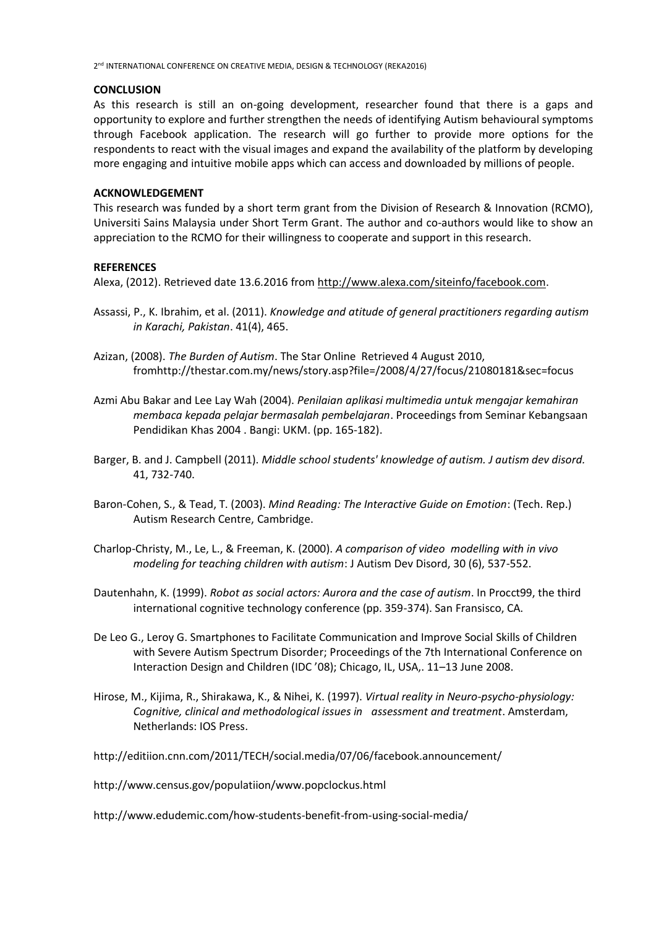## **CONCLUSION**

As this research is still an on-going development, researcher found that there is a gaps and opportunity to explore and further strengthen the needs of identifying Autism behavioural symptoms through Facebook application. The research will go further to provide more options for the respondents to react with the visual images and expand the availability of the platform by developing more engaging and intuitive mobile apps which can access and downloaded by millions of people.

# **ACKNOWLEDGEMENT**

This research was funded by a short term grant from the Division of Research & Innovation (RCMO), Universiti Sains Malaysia under Short Term Grant. The author and co-authors would like to show an appreciation to the RCMO for their willingness to cooperate and support in this research.

# **REFERENCES**

Alexa, (2012). Retrieved date 13.6.2016 from [http://www.alexa.com/siteinfo/facebook.com.](http://www.alexa.com/siteinfo/facebook.com)

- Assassi, P., K. Ibrahim, et al. (2011). *Knowledge and atitude of general practitioners regarding autism in Karachi, Pakistan*. 41(4), 465.
- Azizan, (2008). *The Burden of Autism*. The Star Online Retrieved 4 August 2010, fromhttp://thestar.com.my/news/story.asp?file=/2008/4/27/focus/21080181&sec=focus
- Azmi Abu Bakar and Lee Lay Wah (2004). *Penilaian aplikasi multimedia untuk mengajar kemahiran membaca kepada pelajar bermasalah pembelajaran*. Proceedings from Seminar Kebangsaan Pendidikan Khas 2004 . Bangi: UKM. (pp. 165-182).
- Barger, B. and J. Campbell (2011). *Middle school students' knowledge of autism. J autism dev disord.* 41, 732-740.
- Baron-Cohen, S., & Tead, T. (2003). *Mind Reading: The Interactive Guide on Emotion*: (Tech. Rep.) Autism Research Centre, Cambridge.
- Charlop-Christy, M., Le, L., & Freeman, K. (2000). *A comparison of video modelling with in vivo modeling for teaching children with autism*: J Autism Dev Disord, 30 (6), 537-552.
- Dautenhahn, K. (1999). *Robot as social actors: Aurora and the case of autism*. In Procct99, the third international cognitive technology conference (pp. 359-374). San Fransisco, CA.
- De Leo G., Leroy G. Smartphones to Facilitate Communication and Improve Social Skills of Children with Severe Autism Spectrum Disorder; Proceedings of the 7th International Conference on Interaction Design and Children (IDC '08); Chicago, IL, USA,. 11–13 June 2008.
- Hirose, M., Kijima, R., Shirakawa, K., & Nihei, K. (1997). *Virtual reality in Neuro-psycho-physiology: Cognitive, clinical and methodological issues in assessment and treatment*. Amsterdam, Netherlands: IOS Press.

http://editiion.cnn.com/2011/TECH/social.media/07/06/facebook.announcement/

http://www.census.gov/populatiion/www.popclockus.html

http://www.edudemic.com/how-students-benefit-from-using-social-media/